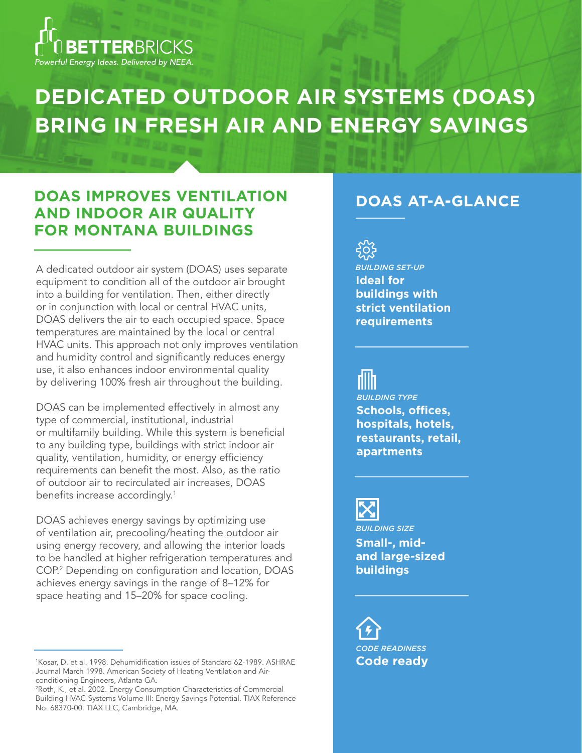

# **DEDICATED OUTDOOR AIR SYSTEMS (DOAS) BRING IN FRESH AIR AND ENERGY SAVINGS**

## **DOAS IMPROVES VENTILATION AND INDOOR AIR QUALITY FOR MONTANA BUILDINGS**

A dedicated outdoor air system (DOAS) uses separate equipment to condition all of the outdoor air brought into a building for ventilation. Then, either directly or in conjunction with local or central HVAC units, DOAS delivers the air to each occupied space. Space temperatures are maintained by the local or central HVAC units. This approach not only improves ventilation and humidity control and significantly reduces energy use, it also enhances indoor environmental quality by delivering 100% fresh air throughout the building.

DOAS can be implemented effectively in almost any type of commercial, institutional, industrial or multifamily building. While this system is beneficial to any building type, buildings with strict indoor air quality, ventilation, humidity, or energy efficiency requirements can benefit the most. Also, as the ratio of outdoor air to recirculated air increases, DOAS benefits increase accordingly.<sup>1</sup>

DOAS achieves energy savings by optimizing use of ventilation air, precooling/heating the outdoor air using energy recovery, and allowing the interior loads to be handled at higher refrigeration temperatures and COP.2 Depending on configuration and location, DOAS achieves energy savings in the range of 8–12% for space heating and 15–20% for space cooling.

#### **DOAS AT-A-GLANCE**



**Schools, offices, hospitals, hotels, restaurants, retail, apartments** *BUILDING TYPE*



*BUILDING SIZE* **Small-, midand large-sized buildings**

*CODE READINESS* **Code ready**

<sup>1</sup> Kosar, D. et al. 1998. Dehumidification issues of Standard 62-1989. ASHRAE Journal March 1998. American Society of Heating Ventilation and Airconditioning Engineers, Atlanta GA.

<sup>2</sup> Roth, K., et al. 2002. Energy Consumption Characteristics of Commercial Building HVAC Systems Volume III: Energy Savings Potential. TIAX Reference No. 68370-00. TIAX LLC, Cambridge, MA.